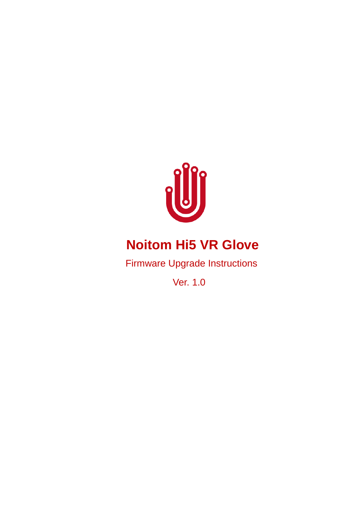

# **Noitom Hi5 VR Glove**

Firmware Upgrade Instructions

Ver. 1.0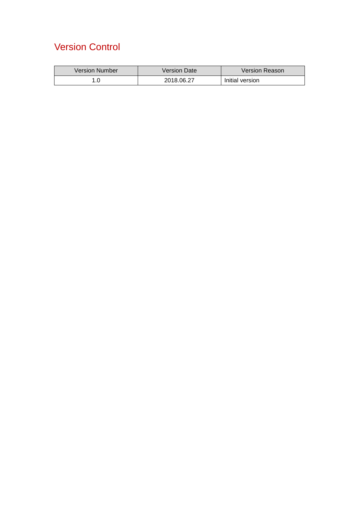## Version Control

| <b>Version Number</b> | Version Date | <b>Version Reason</b> |
|-----------------------|--------------|-----------------------|
|                       | 2018.06.27   | Initial version       |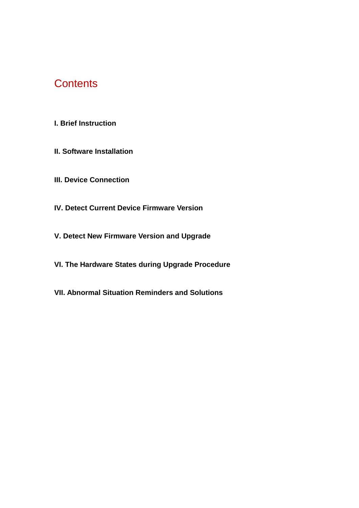### **Contents**

- **I. Brief Instruction**
- **II. Software Installation**
- **III. Device Connection**
- **IV. Detect Current Device Firmware Version**
- **V. Detect New Firmware Version and Upgrade**
- **VI. The Hardware States during Upgrade Procedure**
- **VII. Abnormal Situation Reminders and Solutions**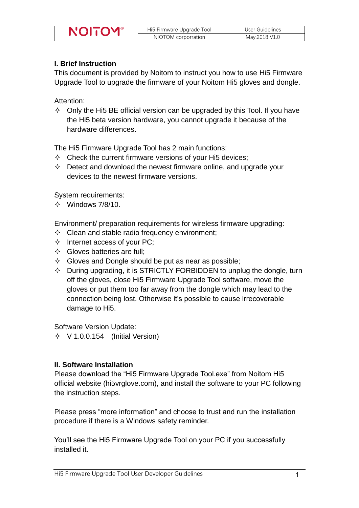| Hi5 Firmware Upgrade Tool | User Guidelines |
|---------------------------|-----------------|
| NIOTOM corporration       | May.2018 V1.0   |

#### **I. Brief Instruction**

This document is provided by Noitom to instruct you how to use Hi5 Firmware Upgrade Tool to upgrade the firmware of your Noitom Hi5 gloves and dongle.

Attention:

 $\Diamond$  Only the Hi5 BE official version can be upgraded by this Tool. If you have the Hi5 beta version hardware, you cannot upgrade it because of the hardware differences.

The Hi5 Firmware Upgrade Tool has 2 main functions:

- $\Diamond$  Check the current firmware versions of your Hi5 devices;
- $\Diamond$  Detect and download the newest firmware online, and upgrade your devices to the newest firmware versions.

System requirements:

 $\div$  Windows 7/8/10.

Environment/ preparation requirements for wireless firmware upgrading:

- $\Diamond$  Clean and stable radio frequency environment;
- $\Diamond$  Internet access of your PC;
- $\Diamond$  Gloves batteries are full;
- $\Diamond$  Gloves and Dongle should be put as near as possible;
- $\Diamond$  During upgrading, it is STRICTLY FORBIDDEN to unplug the dongle, turn off the gloves, close Hi5 Firmware Upgrade Tool software, move the gloves or put them too far away from the dongle which may lead to the connection being lost. Otherwise it's possible to cause irrecoverable damage to Hi5.

Software Version Update:

 $\div$  V 1.0.0.154 (Initial Version)

#### **II. Software Installation**

Please download the "Hi5 Firmware Upgrade Tool.exe" from Noitom Hi5 official website (hi5vrglove.com), and install the software to your PC following the instruction steps.

Please press "more information" and choose to trust and run the installation procedure if there is a Windows safety reminder.

You'll see the Hi5 Firmware Upgrade Tool on your PC if you successfully installed it.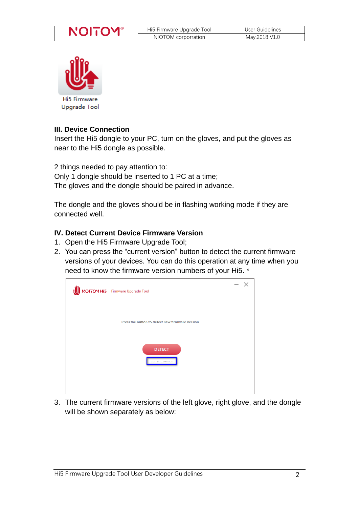



#### **III. Device Connection**

Insert the Hi5 dongle to your PC, turn on the gloves, and put the gloves as near to the Hi5 dongle as possible.

2 things needed to pay attention to: Only 1 dongle should be inserted to 1 PC at a time; The gloves and the dongle should be paired in advance.

The dongle and the gloves should be in flashing working mode if they are connected well.

#### **IV. Detect Current Device Firmware Version**

- 1. Open the Hi5 Firmware Upgrade Tool;
- 2. You can press the "current version" button to detect the current firmware versions of your devices. You can do this operation at any time when you need to know the firmware version numbers of your Hi5. \*



3. The current firmware versions of the left glove, right glove, and the dongle will be shown separately as below: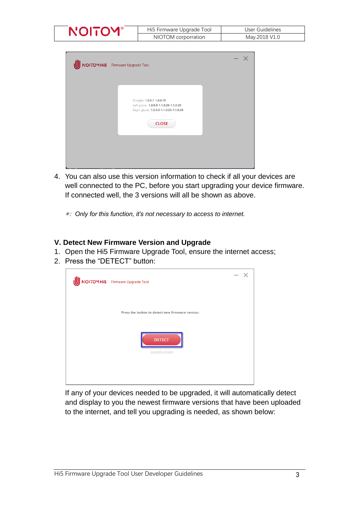| Hı5 Fırmware Upgrade Tool | User Guidelines |
|---------------------------|-----------------|
| NIOTOM corporration       | May.2018 V1.0   |

| NOITOMHI5 Firmware Upgrade Tool                                                                                             | $- x$ |
|-----------------------------------------------------------------------------------------------------------------------------|-------|
| Dongle: 1.0.0.1-1.0.0.15<br>Left glove: 1.0.0.9-1.1.0.28-1.1.0.20<br>Right glove: 1.0.0.9-1.1.0.28-1.1.0.20<br><b>CLOSE</b> |       |
|                                                                                                                             |       |

4. You can also use this version information to check if all your devices are well connected to the PC, before you start upgrading your device firmware. If connected well, the 3 versions will all be shown as above.

\*: *Only for this function, it's not necessary to access to internet.*

#### **V. Detect New Firmware Version and Upgrade**

- 1. Open the Hi5 Firmware Upgrade Tool, ensure the internet access;
- 2. Press the "DETECT" button:



If any of your devices needed to be upgraded, it will automatically detect and display to you the newest firmware versions that have been uploaded to the internet, and tell you upgrading is needed, as shown below: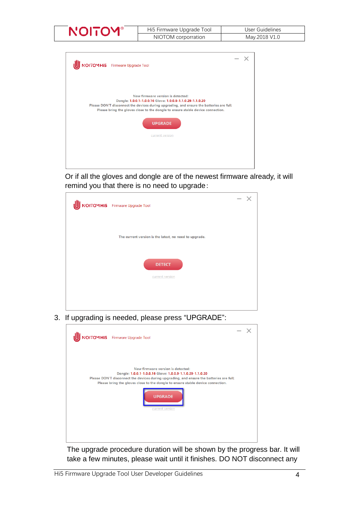| NО | Hi5 Firmware Upgrade Tool | User Guidelines |
|----|---------------------------|-----------------|
|    | NIOTOM corporration       | May.2018 V1.0   |

| NOITOMHI5 Firmware Upgrade Tool                                                                                                                                                                                                                                                                 |  |
|-------------------------------------------------------------------------------------------------------------------------------------------------------------------------------------------------------------------------------------------------------------------------------------------------|--|
| New firmware version is detected:<br>Dongle: 1.0.0.1-1.0.0.16 Glove: 1.0.0.9-1.1.0.29-1.1.0.20<br>Please DON'T disconnect the devices during upgrading, and ensure the batteries are full;<br>Please bring the gloves close to the dongle to ensure stable device connection.<br><b>UPGRADE</b> |  |
| current version                                                                                                                                                                                                                                                                                 |  |

Or if all the gloves and dongle are of the newest firmware already, it will remind you that there is no need to upgrade:



3. If upgrading is needed, please press "UPGRADE":



The upgrade procedure duration will be shown by the progress bar. It will take a few minutes, please wait until it finishes. DO NOT disconnect any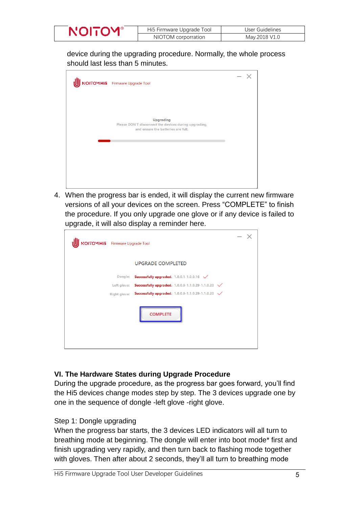| <b>NOITOY</b> | Hi5 Firmware Upgrade Tool | User Guidelines |
|---------------|---------------------------|-----------------|
|               | NIOTOM corporration       | May.2018 V1.0   |

device during the upgrading procedure. Normally, the whole process should last less than 5 minutes.



4. When the progress bar is ended, it will display the current new firmware versions of all your devices on the screen. Press "COMPLETE" to finish the procedure. If you only upgrade one glove or if any device is failed to upgrade, it will also display a reminder here.

| NOITOMHI5 Firmware Upgrade Tool |                     |                                                                            | $\hspace{0.05cm}$ |  |
|---------------------------------|---------------------|----------------------------------------------------------------------------|-------------------|--|
|                                 |                     | <b>UPGRADE COMPLETED</b>                                                   |                   |  |
|                                 | Dongle:             | Successfully upgraded. 1.0.0.1-1.0.0.16 V                                  |                   |  |
|                                 | Left glove:         | <b>Successfully upgraded.</b> $1.0.0.9 - 1.1.0.29 - 1.1.0.20$ $\checkmark$ |                   |  |
|                                 | <b>Right glove:</b> | Successfully upgraded. 1.0.0.9-1.1.0.29-1.1.0.20 V                         |                   |  |
|                                 |                     | <b>COMPLETE</b>                                                            |                   |  |

#### **VI. The Hardware States during Upgrade Procedure**

During the upgrade procedure, as the progress bar goes forward, you'll find the Hi5 devices change modes step by step. The 3 devices upgrade one by one in the sequence of dongle -left glove -right glove.

#### Step 1: Dongle upgrading

When the progress bar starts, the 3 devices LED indicators will all turn to breathing mode at beginning. The dongle will enter into boot mode\* first and finish upgrading very rapidly, and then turn back to flashing mode together with gloves. Then after about 2 seconds, they'll all turn to breathing mode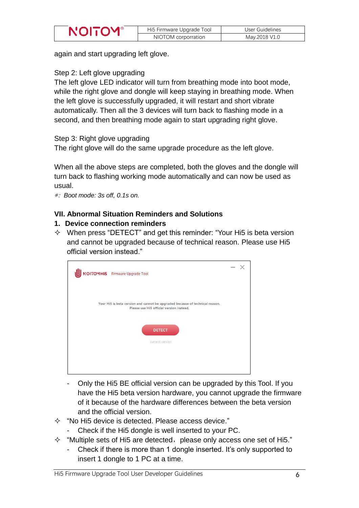| Hi5 Firmware Upgrade Tool | User Guidelines |
|---------------------------|-----------------|
| NIOTOM corporration       | May.2018 V1.0   |

again and start upgrading left glove.

#### Step 2: Left glove upgrading

The left glove LED indicator will turn from breathing mode into boot mode, while the right glove and dongle will keep staying in breathing mode. When the left glove is successfully upgraded, it will restart and short vibrate automatically. Then all the 3 devices will turn back to flashing mode in a second, and then breathing mode again to start upgrading right glove.

Step 3: Right glove upgrading

The right glove will do the same upgrade procedure as the left glove.

When all the above steps are completed, both the gloves and the dongle will turn back to flashing working mode automatically and can now be used as usual.

\*: *Boot mode: 3s off, 0.1s on.* 

#### **VII. Abnormal Situation Reminders and Solutions**

#### **1. Device connection reminders**

 $\Diamond$  When press "DETECT" and get this reminder: "Your Hi5 is beta version and cannot be upgraded because of technical reason. Please use Hi5 official version instead."

| NOITOMHI5 Firmware Upgrade Tool                                                                                          | $\qquad \qquad \longleftarrow$ |  |
|--------------------------------------------------------------------------------------------------------------------------|--------------------------------|--|
| Your Hi5 is beta version and cannot be upgraded because of technical reason.<br>Please use Hi5 official version instead. |                                |  |
| <b>DETECT</b><br>current version                                                                                         |                                |  |
|                                                                                                                          |                                |  |

- Only the Hi5 BE official version can be upgraded by this Tool. If you have the Hi5 beta version hardware, you cannot upgrade the firmware of it because of the hardware differences between the beta version and the official version.
- $\Diamond$  "No Hi5 device is detected. Please access device."
	- Check if the Hi5 dongle is well inserted to your PC.
- $\div$  "Multiple sets of Hi5 are detected, please only access one set of Hi5."
	- Check if there is more than 1 dongle inserted. It's only supported to insert 1 dongle to 1 PC at a time.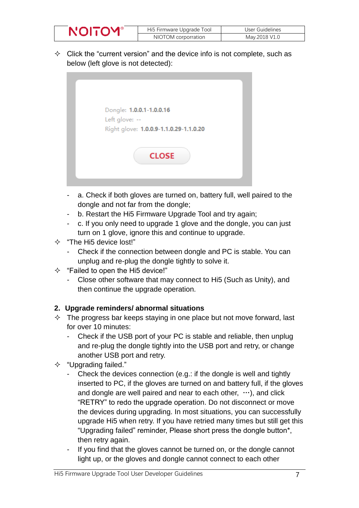| Hi5 Firmware Upgrade Tool | User Guidelines |
|---------------------------|-----------------|
| NIOTOM corporration       | May.2018 V1.0   |

 $\Diamond$  Click the "current version" and the device info is not complete, such as below (left glove is not detected):



- a. Check if both gloves are turned on, battery full, well paired to the dongle and not far from the dongle;
- b. Restart the Hi5 Firmware Upgrade Tool and try again;
- c. If you only need to upgrade 1 glove and the dongle, you can just turn on 1 glove, ignore this and continue to upgrade.
- $\div$  "The Hi5 device lost!"
	- Check if the connection between dongle and PC is stable. You can unplug and re-plug the dongle tightly to solve it.
- $\Diamond$  "Failed to open the Hi5 device!"
	- Close other software that may connect to Hi5 (Such as Unity), and then continue the upgrade operation.

#### **2. Upgrade reminders/ abnormal situations**

- $\Diamond$  The progress bar keeps staying in one place but not move forward, last for over 10 minutes:
	- Check if the USB port of your PC is stable and reliable, then unplug and re-plug the dongle tightly into the USB port and retry, or change another USB port and retry.
- $\div$  "Upgrading failed."
	- Check the devices connection (e.g.: if the dongle is well and tightly inserted to PC, if the gloves are turned on and battery full, if the gloves and dongle are well paired and near to each other,  $\cdots$ ), and click "RETRY" to redo the upgrade operation. Do not disconnect or move the devices during upgrading. In most situations, you can successfully upgrade Hi5 when retry. If you have retried many times but still get this "Upgrading failed" reminder, Please short press the dongle button\*, then retry again.
	- If you find that the gloves cannot be turned on, or the dongle cannot light up, or the gloves and dongle cannot connect to each other